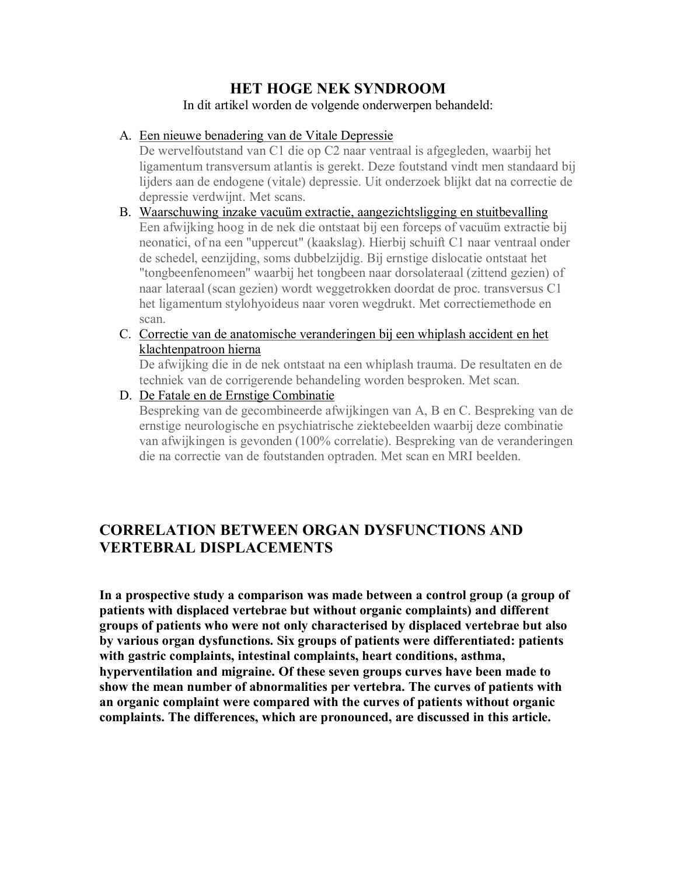## **HET HOGE NEK SYNDROOM**

In dit artikel worden de volgende onderwerpen behandeld:

### A. Een nieuwe benadering van de Vitale Depressie

De wervelfoutstand van C1 die op C2 naar ventraal is afgegleden, waarbij het ligamentum transversum atlantis is gerekt. Deze foutstand vindt men standaard bij lijders aan de endogene (vitale) depressie. Uit onderzoek blijkt dat na correctie de depressie verdwijnt. Met scans.

- B. Waarschuwing inzake vacuüm extractie, aangezichtsligging en stuitbevalling Een afwijking hoog in de nek die ontstaat bij een forceps of vacuüm extractie bij neonatici, of na een "uppercut" (kaakslag). Hierbij schuift C1 naar ventraal onder de schedel, eenzijding, soms dubbelzijdig. Bij ernstige dislocatie ontstaat het "tongbeenfenomeen" waarbij het tongbeen naar dorsolateraal (zittend gezien) of naar lateraal (scan gezien) wordt weggetrokken doordat de proc. transversus C1 het ligamentum stylohyoideus naar voren wegdrukt. Met correctiemethode en scan.
- C. Correctie van de anatomische veranderingen bij een whiplash accident en het klachtenpatroon hierna

De afwijking die in de nek ontstaat na een whiplash trauma. De resultaten en de techniek van de corrigerende behandeling worden besproken. Met scan.

D. De Fatale en de Ernstige Combinatie

Bespreking van de gecombineerde afwijkingen van A, B en C. Bespreking van de ernstige neurologische en psychiatrische ziektebeelden waarbij deze combinatie van afwijkingen is gevonden (100% correlatie). Bespreking van de veranderingen die na correctie van de foutstanden optraden. Met scan en MRI beelden.

# **CORRELATION BETWEEN ORGAN DYSFUNCTIONS AND VERTEBRAL DISPLACEMENTS**

**In a prospective study a comparison was made between a control group (a group of patients with displaced vertebrae but without organic complaints) and different groups of patients who were not only characterised by displaced vertebrae but also by various organ dysfunctions. Six groups of patients were differentiated: patients with gastric complaints, intestinal complaints, heart conditions, asthma, hyperventilation and migraine. Of these seven groups curves have been made to show the mean number of abnormalities per vertebra. The curves of patients with an organic complaint were compared with the curves of patients without organic complaints. The differences, which are pronounced, are discussed in this article.**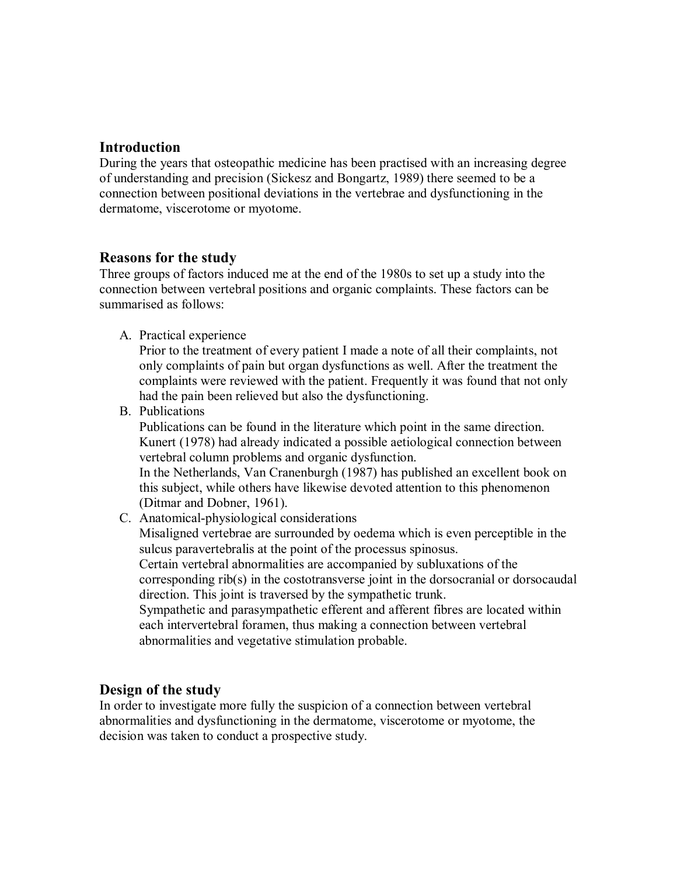## **Introduction**

During the years that osteopathic medicine has been practised with an increasing degree of understanding and precision (Sickesz and Bongartz, 1989) there seemed to be a connection between positional deviations in the vertebrae and dysfunctioning in the dermatome, viscerotome or myotome.

### **Reasons for the study**

Three groups of factors induced me at the end of the 1980s to set up a study into the connection between vertebral positions and organic complaints. These factors can be summarised as follows:

A. Practical experience

Prior to the treatment of every patient I made a note of all their complaints, not only complaints of pain but organ dysfunctions as well. After the treatment the complaints were reviewed with the patient. Frequently itwas found that not only had the pain been relieved but also the dysfunctioning.

B. Publications

Publications can be found in the literature which point in the same direction. Kunert (1978) had already indicated a possible aetiological connection between vertebral column problems and organic dysfunction.

In the Netherlands, Van Cranenburgh (1987) has published an excellent book on this subject, while others have likewise devoted attention to this phenomenon (Ditmar and Dobner, 1961).

C. Anatomical-physiological considerations

Misaligned vertebrae are surrounded by oedema which is even perceptible in the sulcus paravertebralis at the point of the processus spinosus.

Certain vertebral abnormalities are accompanied by subluxations of the corresponding rib(s) in the costotransverse joint in the dorsocranial or dorsocaudal direction. This joint is traversed by the sympathetic trunk.

Sympathetic and parasympathetic efferent and afferent fibres are located within each intervertebral foramen, thus making a connection between vertebral abnormalities and vegetative stimulation probable.

### **Design of the study**

In order to investigate more fully the suspicion of a connection between vertebral abnormalities and dysfunctioning in the dermatome, viscerotome or myotome, the decision was taken to conduct a prospective study.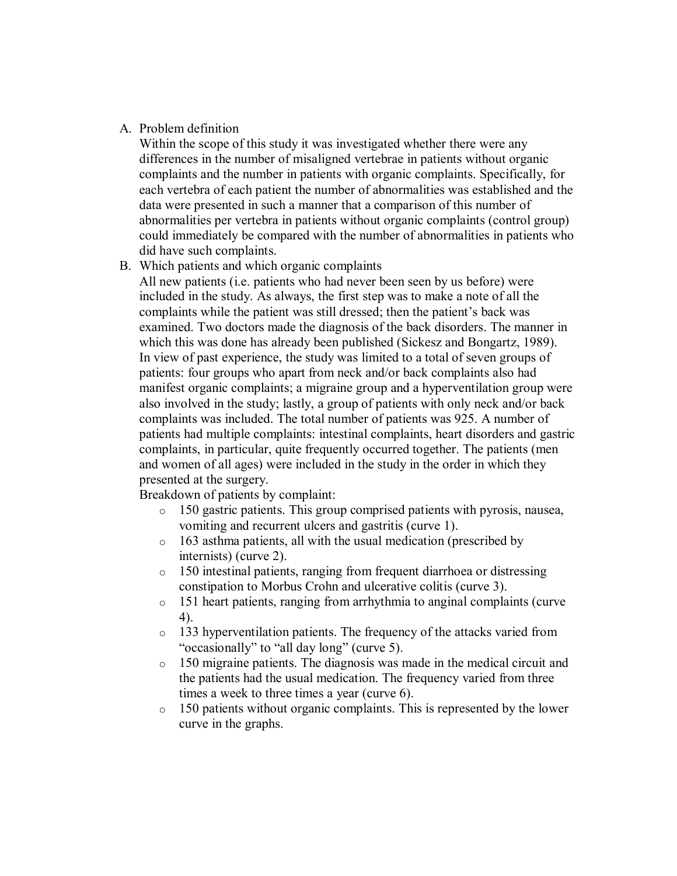#### A. Problem definition

Within the scope of this study it was investigated whether there were any differences in the number of misaligned vertebrae in patients without organic complaints and the number in patients with organic complaints. Specifically, for each vertebra of each patient the number of abnormalities was established and the data were presented in such a manner that a comparison of this number of abnormalities per vertebra in patients without organic complaints (control group) could immediately be compared with the number of abnormalities in patients who did have such complaints.

#### B. Which patients and which organic complaints

All new patients (i.e. patients who had never been seen by us before) were included in the study. As always, the first step was to make a note of all the complaints while the patient was still dressed; then the patient's back was examined. Two doctors made the diagnosis of the back disorders. The manner in which this was done has already been published (Sickesz and Bongartz, 1989). In view of past experience, the study was limited to a total of seven groups of patients: four groups who apart from neck and/or back complaints also had manifest organic complaints; a migraine group and a hyperventilation group were also involved in the study; lastly, a group of patients with only neck and/or back complaints was included. The total number of patients was 925. A number of patients had multiple complaints: intestinal complaints, heart disorders and gastric complaints, in particular, quite frequently occurred together. The patients (men and women of all ages) were included in the study in the order in which they presented at the surgery.

Breakdown of patients by complaint:

- o 150 gastric patients. This group comprised patients with pyrosis, nausea, vomiting and recurrent ulcers and gastritis (curve 1).
- o 163 asthma patients, all with the usual medication (prescribed by internists) (curve 2).
- o 150 intestinal patients, ranging from frequent diarrhoea or distressing constipation to Morbus Crohn and ulcerative colitis (curve 3).
- o 151 heart patients, ranging from arrhythmia to anginal complaints (curve 4).
- o 133 hyperventilation patients. The frequency of the attacks varied from "occasionally" to "all day long" (curve 5).
- o 150 migraine patients. The diagnosis was made in the medical circuit and the patients had the usual medication. The frequency varied from three times a week to three times a year (curve 6).
- o 150 patients without organic complaints. This is represented by the lower curve in the graphs.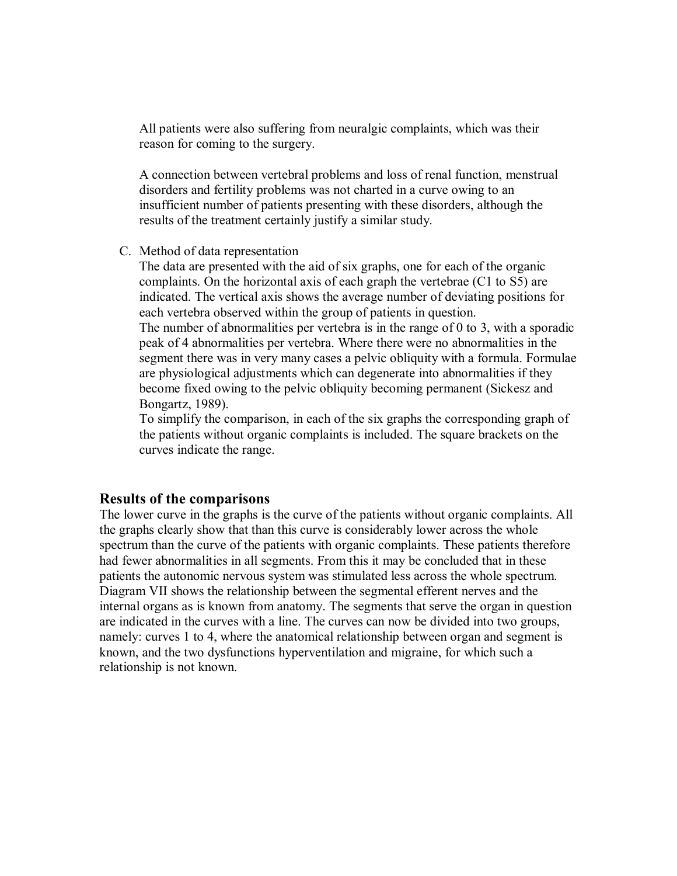All patients were also suffering from neuralgic complaints, which was their reason for coming to the surgery.

A connection between vertebral problems and loss of renal function, menstrual disorders and fertility problems was not charted in a curve owing to an insufficient number of patients presenting with these disorders, although the results of the treatment certainly justify a similar study.

#### C. Method of data representation

The data are presented with the aid of six graphs, one for each of the organic complaints. On the horizontal axis of each graph the vertebrae (C1 to S5) are indicated. The vertical axis shows the average number of deviating positions for each vertebra observed within the group of patients in question.

The number of abnormalities per vertebra is in the range of 0 to 3, with a sporadic peak of 4 abnormalities per vertebra. Where there were no abnormalities in the segment there was in very many cases a pelvic obliquity with a formula. Formulae are physiological adjustments which can degenerate into abnormalities if they become fixed owing to the pelvic obliquity becoming permanent (Sickesz and Bongartz, 1989).

To simplify the comparison, in each of the six graphs the corresponding graph of the patients without organic complaints is included. The square brackets on the curves indicate the range.

#### **Results of the comparisons**

The lower curve in the graphs is the curve of the patients without organic complaints. All the graphs clearly show that than this curve is considerably lower across the whole spectrum than the curve of the patients with organic complaints. These patients therefore had fewer abnormalities in all segments. From this it may be concluded that in these patients the autonomic nervous system was stimulated less across the whole spectrum. Diagram VII shows the relationship between the segmental efferent nerves and the internal organs as is known from anatomy. The segments that serve the organ in question are indicated in the curves with a line. The curves can now be divided into two groups, namely: curves 1 to 4, where the anatomical relationship between organ and segment is known, and the two dysfunctions hyperventilation and migraine, for which such a relationship is not known.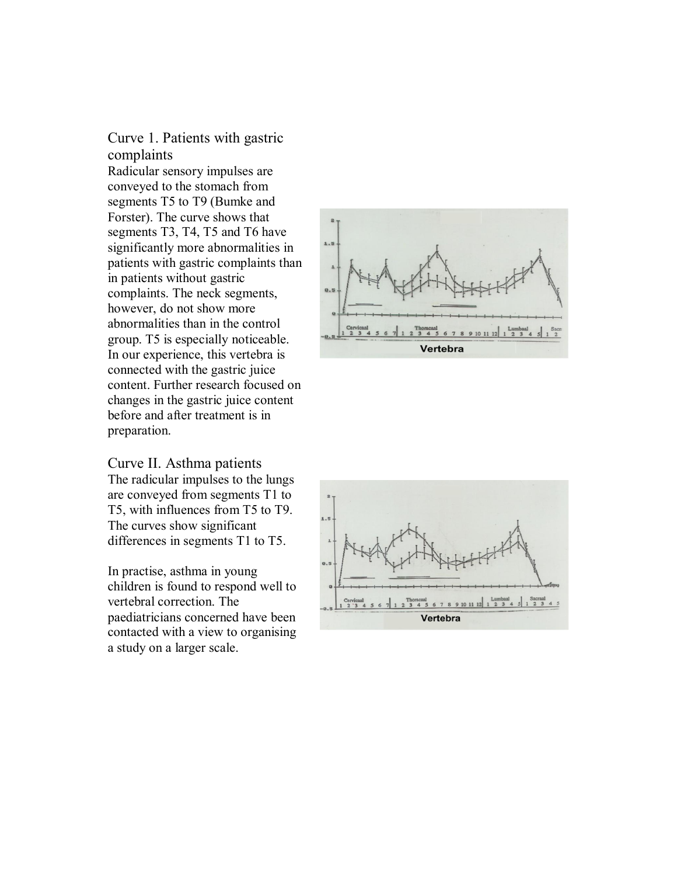# Curve 1. Patients with gastric complaints

Radicular sensory impulses are conveyed to the stomach from segments T5 to T9 (Bumke and Forster). The curve shows that segments T3, T4, T5 and T6 have significantly more abnormalities in patients with gastric complaints than in patients without gastric complaints. The neck segments, however, do not show more abnormalities than in the control group. T5 is especially noticeable. In our experience, this vertebra is connected with the gastric juice content. Further research focused on changes in the gastric juice content before and after treatment is in preparation.

Curve II. Asthma patients The radicular impulses to the lungs are conveyed from segments T1 to T5, with influences from T5 to T9. The curves show significant differences in segments T1 to T5.

In practise, asthma in young children is found to respond well to vertebral correction. The paediatricians concerned have been contacted with a view to organising a study on a larger scale.



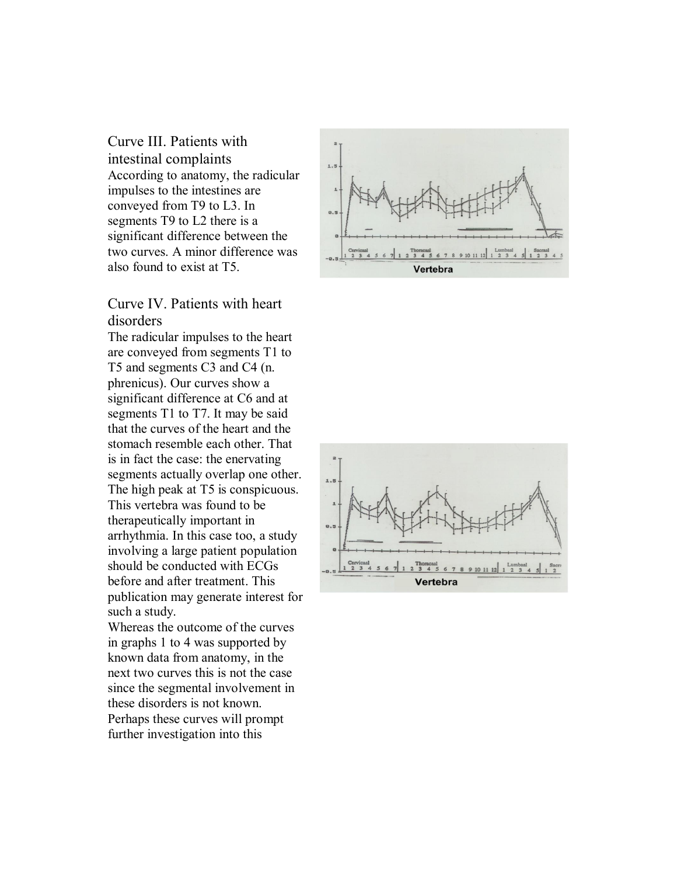Curve III. Patients with intestinal complaints According to anatomy, the radicular impulses to the intestines are conveyed from T9 to L3. In segments T9 to L2 there is a significant difference between the two curves. A minor difference was also found to exist at T5.

## Curve IV. Patients with heart disorders

The radicular impulses to the heart are conveyed from segments T1 to T5 and segments C3 and C4 (n. phrenicus). Our curves show a significant difference at C6 and at segments T1 to T7. It may be said that the curves of the heart and the stomach resemble each other. That is in fact the case: the enervating segments actually overlap one other. The high peak at T5 is conspicuous. This vertebra was found to be therapeutically important in arrhythmia. In this case too, a study involving a large patient population should be conducted with ECGs before and after treatment. This publication may generate interest for such a study.

Whereas the outcome of the curves in graphs 1 to 4 was supported by known data from anatomy, in the next two curves this is not the case since the segmental involvement in these disorders is not known. Perhaps these curves will prompt further investigation into this



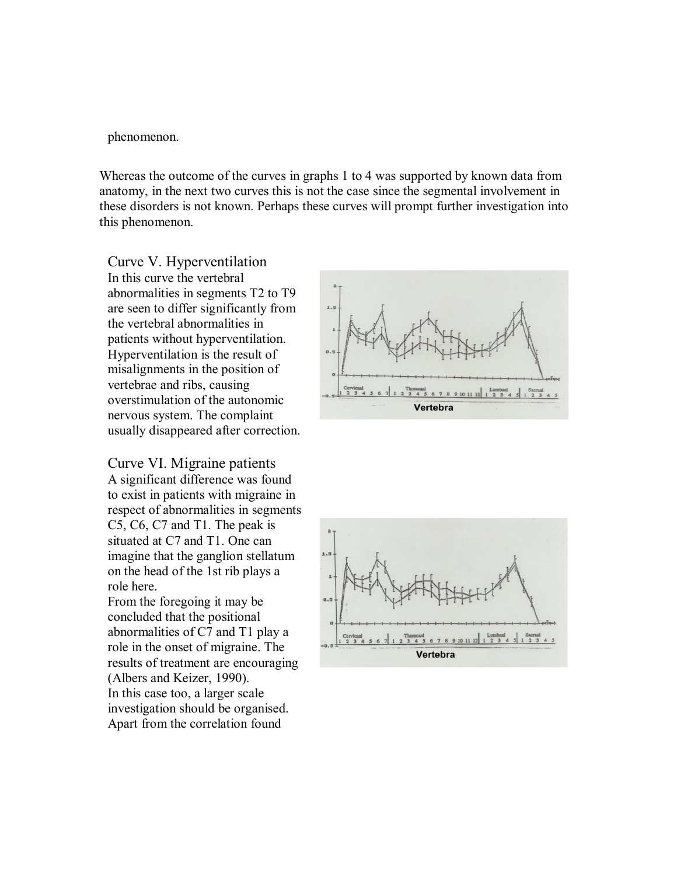phenomenon.

Whereas the outcome of the curves in graphs 1 to 4 was supported by known data from anatomy, in the next two curves this is not the case since the segmental involvement in these disorders is not known. Perhaps these curves will prompt further investigation into this phenomenon.

Curve V. Hyperventilation In this curve the vertebral abnormalities in segments T2 to T9 are seen to differ significantly from the vertebral abnormalities in patients without hyperventilation. Hyperventilation is the result of misalignments in the position of vertebrae and ribs, causing overstimulation of the autonomic nervous system. The complaint usually disappeared after correction.

Curve VI. Migraine patients A significant difference was found to exist in patients with migraine in respect of abnormalities in segments C5, C6, C7 and T1. The peak is situated at C7 and T1. One can imagine that the ganglion stellatum on the head of the 1st rib plays a role here.

From the foregoing it may be concluded that the positional abnormalities of C7 and T1 play a role in the onset of migraine. The results of treatment are encouraging (Albers and Keizer, 1990). In this case too, a larger scale investigation should be organised. Apart from the correlation found